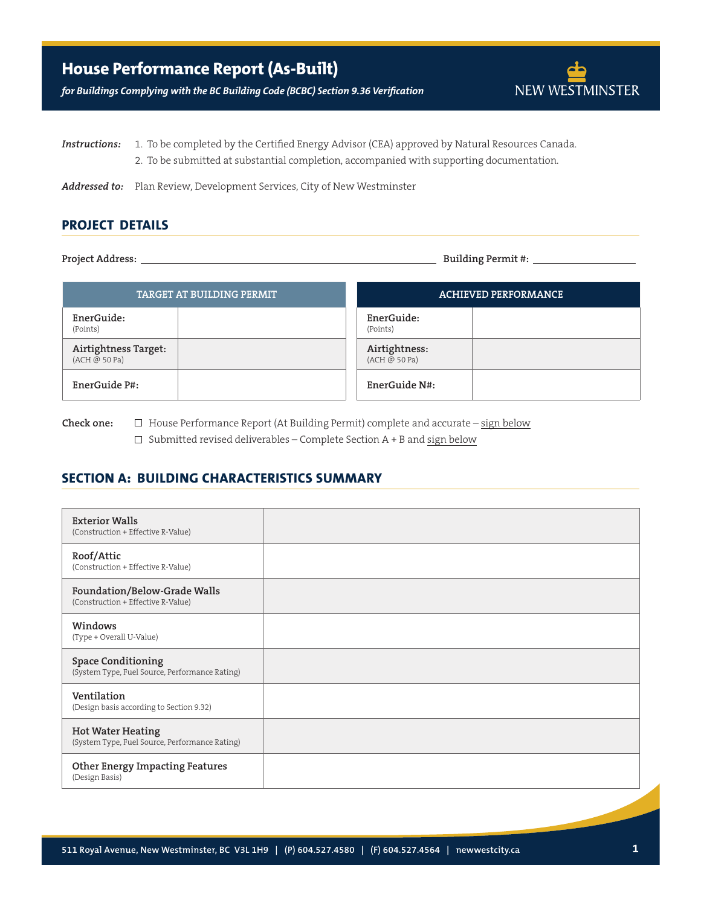

*for Buildings Complying with the BC Building Code (BCBC) Section 9.36 Verification*

- 1. To be completed by the Certified Energy Advisor (CEA) approved by Natural Resources Canada. *Instructions:* 2. To be submitted at substantial completion, accompanied with supporting documentation.
- **Addressed to:** Plan Review, Development Services, City of New Westminster

## **Project Details**

**Project Address: Building Permit #:** 

| TARGET AT BUILDING PERMIT | <b>ACHIEVED PERFORMANCE</b> |
|---------------------------|-----------------------------|
| EnerGuide:                | EnerGuide:                  |
| (Points)                  | (Points)                    |
| Airtightness Target:      | Airtightness:               |
| (ACH @ 50 Pa)             | (ACH @ 50 Pa)               |
| EnerGuide P#:             | EnerGuide N#:               |

**Check one:** □ House Performance Report (At Building Permit) complete and accurate – sign below

 $\square$  Submitted revised deliverables – Complete Section A + B and sign below

## **SECTION A: BUILDING CHARACTERISTICS SUMMARY**

| <b>Exterior Walls</b><br>(Construction + Effective R-Value)                 |  |
|-----------------------------------------------------------------------------|--|
| Roof/Attic<br>(Construction + Effective R-Value)                            |  |
| Foundation/Below-Grade Walls<br>(Construction + Effective R-Value)          |  |
| Windows<br>(Type + Overall U-Value)                                         |  |
| <b>Space Conditioning</b><br>(System Type, Fuel Source, Performance Rating) |  |
| Ventilation<br>(Design basis according to Section 9.32)                     |  |
| <b>Hot Water Heating</b><br>(System Type, Fuel Source, Performance Rating)  |  |
| <b>Other Energy Impacting Features</b><br>(Design Basis)                    |  |